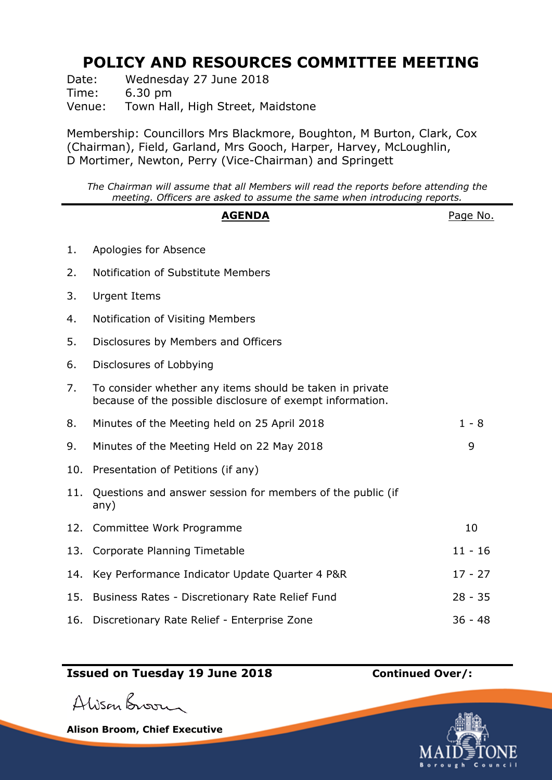## **POLICY AND RESOURCES COMMITTEE MEETING**

Date: Wednesday 27 June 2018 Time: 6.30 pm Venue: Town Hall, High Street, Maidstone

Membership: Councillors Mrs Blackmore, Boughton, M Burton, Clark, Cox (Chairman), Field, Garland, Mrs Gooch, Harper, Harvey, McLoughlin, D Mortimer, Newton, Perry (Vice-Chairman) and Springett

*The Chairman will assume that all Members will read the reports before attending the meeting. Officers are asked to assume the same when introducing reports.*

## AGENDA **AGENDA**Page No.

| 1.  | Apologies for Absence                                                                                                 |           |
|-----|-----------------------------------------------------------------------------------------------------------------------|-----------|
| 2.  | Notification of Substitute Members                                                                                    |           |
| 3.  | <b>Urgent Items</b>                                                                                                   |           |
| 4.  | Notification of Visiting Members                                                                                      |           |
| 5.  | Disclosures by Members and Officers                                                                                   |           |
| 6.  | Disclosures of Lobbying                                                                                               |           |
| 7.  | To consider whether any items should be taken in private<br>because of the possible disclosure of exempt information. |           |
| 8.  | Minutes of the Meeting held on 25 April 2018                                                                          | $1 - 8$   |
| 9.  | Minutes of the Meeting Held on 22 May 2018                                                                            | 9         |
| 10. | Presentation of Petitions (if any)                                                                                    |           |
| 11. | Questions and answer session for members of the public (if<br>any)                                                    |           |
| 12. | Committee Work Programme                                                                                              | 10        |
| 13. | Corporate Planning Timetable                                                                                          | $11 - 16$ |
| 14. | Key Performance Indicator Update Quarter 4 P&R                                                                        | $17 - 27$ |
| 15. | Business Rates - Discretionary Rate Relief Fund                                                                       | $28 - 35$ |
| 16. | Discretionary Rate Relief - Enterprise Zone                                                                           | $36 - 48$ |

## **Issued on Tuesday 19 June 2018 Continued Over/:**

Alison Broom

**Alison Broom, Chief Executive**